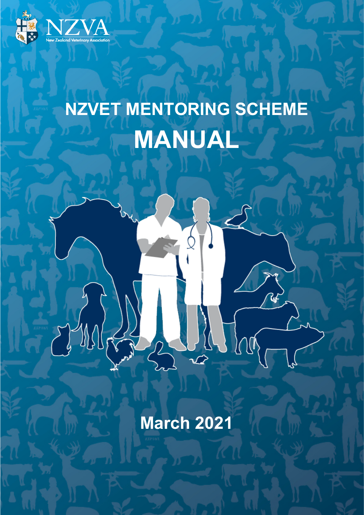

# **NZVET MENTORING SCHEME MANUAL**

**March 2021**

Alla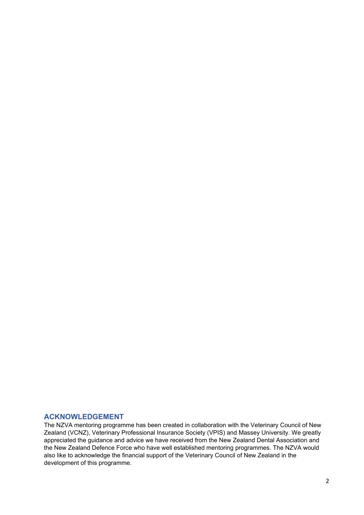#### <span id="page-1-0"></span>**ACKNOWLEDGEMENT**

The NZVA mentoring programme has been created in collaboration with the Veterinary Council of New Zealand (VCNZ), Veterinary Professional Insurance Society (VPIS) and Massey University. We greatly appreciated the guidance and advice we have received from the New Zealand Dental Association and the New Zealand Defence Force who have well established mentoring programmes. The NZVA would also like to acknowledge the financial support of the Veterinary Council of New Zealand in the development of this programme.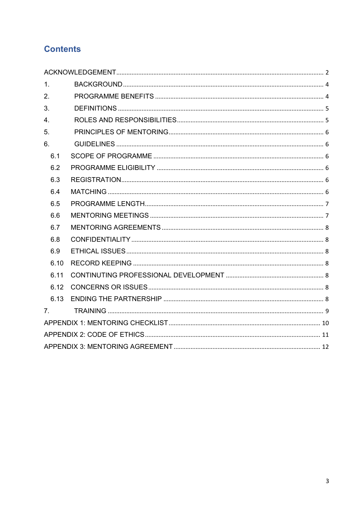# **Contents**

| 1.               |  |  |  |  |  |
|------------------|--|--|--|--|--|
| 2.               |  |  |  |  |  |
| 3.               |  |  |  |  |  |
| $\overline{4}$ . |  |  |  |  |  |
| 5.               |  |  |  |  |  |
| 6.               |  |  |  |  |  |
| 6.1              |  |  |  |  |  |
| 6.2              |  |  |  |  |  |
| 6.3              |  |  |  |  |  |
| 6.4              |  |  |  |  |  |
| 6.5              |  |  |  |  |  |
| 6.6              |  |  |  |  |  |
| 6.7              |  |  |  |  |  |
| 6.8              |  |  |  |  |  |
| 6.9              |  |  |  |  |  |
| 6.10             |  |  |  |  |  |
| 6.11             |  |  |  |  |  |
| 6.12             |  |  |  |  |  |
| 6.13             |  |  |  |  |  |
| 7 <sub>1</sub>   |  |  |  |  |  |
|                  |  |  |  |  |  |
|                  |  |  |  |  |  |
|                  |  |  |  |  |  |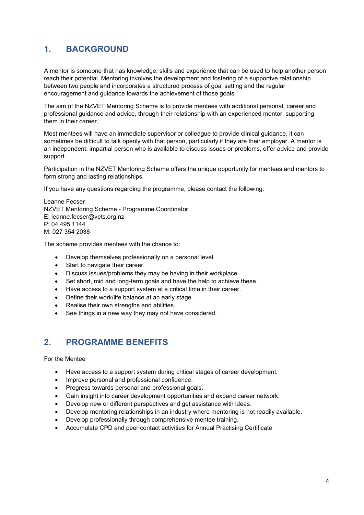## <span id="page-3-0"></span>**1. BACKGROUND**

A mentor is someone that has knowledge, skills and experience that can be used to help another person reach their potential. Mentoring involves the development and fostering of a supportive relationship between two people and incorporates a structured process of goal setting and the regular encouragement and guidance towards the achievement of those goals.

The aim of the NZVET Mentoring Scheme is to provide mentees with additional personal, career and professional guidance and advice, through their relationship with an experienced mentor, supporting them in their career.

Most mentees will have an immediate supervisor or colleague to provide clinical guidance, it can sometimes be difficult to talk openly with that person, particularly if they are their employer. A mentor is an independent, impartial person who is available to discuss issues or problems, offer advice and provide support.

Participation in the NZVET Mentoring Scheme offers the unique opportunity for mentees and mentors to form strong and lasting relationships.

If you have any questions regarding the programme, please contact the following:

Leanne Fecser NZVET Mentoring Scheme - Programme Coordinator E: leanne.fecser@vets.org.nz P: 04 495 1144 M: 027 354 2038

The scheme provides mentees with the chance to:

- Develop themselves professionally on a personal level.
- Start to navigate their career.
- Discuss issues/problems they may be having in their workplace.
- Set short, mid and long-term goals and have the help to achieve these.
- Have access to a support system at a critical time in their career.
- Define their work/life balance at an early stage.
- Realise their own strengths and abilities.
- See things in a new way they may not have considered.

## <span id="page-3-1"></span>**2. PROGRAMME BENEFITS**

For the Mentee

- Have access to a support system during critical stages of career development.
- Improve personal and professional confidence.
- Progress towards personal and professional goals.
- Gain insight into career development opportunities and expand career network.
- Develop new or different perspectives and get assistance with ideas.
- Develop mentoring relationships in an industry where mentoring is not readily available.
- Develop professionally through comprehensive mentee training.
- Accumulate CPD and peer contact activities for Annual Practising Certificate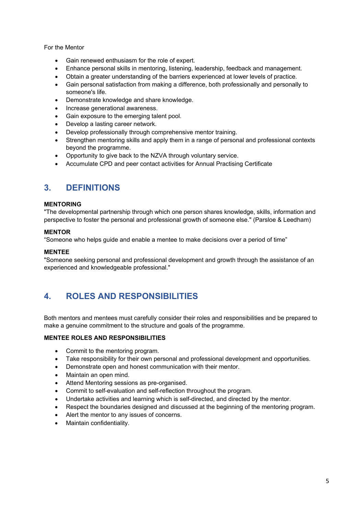For the Mentor

- Gain renewed enthusiasm for the role of expert.
- Enhance personal skills in mentoring, listening, leadership, feedback and management.
- Obtain a greater understanding of the barriers experienced at lower levels of practice.
- Gain personal satisfaction from making a difference, both professionally and personally to someone's life.
- Demonstrate knowledge and share knowledge.
- Increase generational awareness.
- Gain exposure to the emerging talent pool.
- Develop a lasting career network.
- Develop professionally through comprehensive mentor training.
- Strengthen mentoring skills and apply them in a range of personal and professional contexts beyond the programme.
- Opportunity to give back to the NZVA through voluntary service.
- Accumulate CPD and peer contact activities for Annual Practising Certificate

## <span id="page-4-0"></span>**3. DEFINITIONS**

#### **MENTORING**

"The developmental partnership through which one person shares knowledge, skills, information and perspective to foster the personal and professional growth of someone else." (Parsloe & Leedham)

#### **MENTOR**

"Someone who helps guide and enable a mentee to make decisions over a period of time"

#### **MENTEE**

"Someone seeking personal and professional development and growth through the assistance of an experienced and knowledgeable professional."

## <span id="page-4-1"></span>**4. ROLES AND RESPONSIBILITIES**

Both mentors and mentees must carefully consider their roles and responsibilities and be prepared to make a genuine commitment to the structure and goals of the programme.

#### **MENTEE ROLES AND RESPONSIBILITIES**

- Commit to the mentoring program.
- Take responsibility for their own personal and professional development and opportunities.
- Demonstrate open and honest communication with their mentor.
- Maintain an open mind.
- Attend Mentoring sessions as pre-organised.
- Commit to self-evaluation and self-reflection throughout the program.
- Undertake activities and learning which is self-directed, and directed by the mentor.
- Respect the boundaries designed and discussed at the beginning of the mentoring program.
- Alert the mentor to any issues of concerns.
- Maintain confidentiality.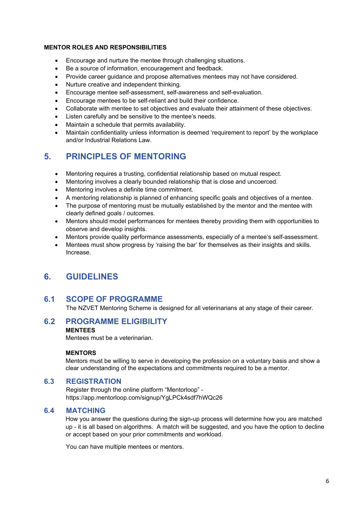#### **MENTOR ROLES AND RESPONSIBILITIES**

- Encourage and nurture the mentee through challenging situations.
- Be a source of information, encouragement and feedback.
- Provide career guidance and propose alternatives mentees may not have considered.
- Nurture creative and independent thinking.
- Encourage mentee self-assessment, self-awareness and self-evaluation.
- Encourage mentees to be self-reliant and build their confidence.
- Collaborate with mentee to set objectives and evaluate their attainment of these objectives.
- Listen carefully and be sensitive to the mentee's needs.
- Maintain a schedule that permits availability.
- Maintain confidentiality unless information is deemed 'requirement to report' by the workplace and/or Industrial Relations Law.

## <span id="page-5-0"></span>**5. PRINCIPLES OF MENTORING**

- Mentoring requires a trusting, confidential relationship based on mutual respect.
- Mentoring involves a clearly bounded relationship that is close and uncoerced.
- Mentoring involves a definite time commitment.
- A mentoring relationship is planned of enhancing specific goals and objectives of a mentee.
- The purpose of mentoring must be mutually established by the mentor and the mentee with clearly defined goals / outcomes.
- Mentors should model performances for mentees thereby providing them with opportunities to observe and develop insights.
- Mentors provide quality performance assessments, especially of a mentee's self-assessment.
- Mentees must show progress by 'raising the bar' for themselves as their insights and skills. Increase.

## <span id="page-5-1"></span>**6. GUIDELINES**

#### <span id="page-5-2"></span>**6.1 SCOPE OF PROGRAMME**

The NZVET Mentoring Scheme is designed for all veterinarians at any stage of their career.

### <span id="page-5-3"></span>**6.2 PROGRAMME ELIGIBILITY**

#### **MENTEES**

Mentees must be a veterinarian.

#### **MENTORS**

Mentors must be willing to serve in developing the profession on a voluntary basis and show a clear understanding of the expectations and commitments required to be a mentor.

#### <span id="page-5-4"></span>**6.3 REGISTRATION**

Register through the online platform "Mentorloop" https://app.mentorloop.com/signup/YgLPCk4sdf7hWQc26

#### <span id="page-5-5"></span>**6.4 MATCHING**

How you answer the questions during the sign-up process will determine how you are matched up - it is all based on algorithms. A match will be suggested, and you have the option to decline or accept based on your prior commitments and workload.

You can have multiple mentees or mentors.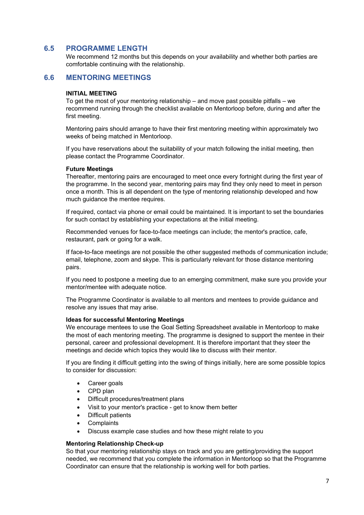#### <span id="page-6-0"></span>**6.5 PROGRAMME LENGTH**

We recommend 12 months but this depends on your availability and whether both parties are comfortable continuing with the relationship.

#### <span id="page-6-1"></span>**6.6 MENTORING MEETINGS**

#### **INITIAL MEETING**

To get the most of your mentoring relationship – and move past possible pitfalls – we recommend running through the checklist available on Mentorloop before, during and after the first meeting.

Mentoring pairs should arrange to have their first mentoring meeting within approximately two weeks of being matched in Mentorloop.

If you have reservations about the suitability of your match following the initial meeting, then please contact the Programme Coordinator.

#### **Future Meetings**

Thereafter, mentoring pairs are encouraged to meet once every fortnight during the first year of the programme. In the second year, mentoring pairs may find they only need to meet in person once a month. This is all dependent on the type of mentoring relationship developed and how much guidance the mentee requires.

If required, contact via phone or email could be maintained. It is important to set the boundaries for such contact by establishing your expectations at the initial meeting.

Recommended venues for face-to-face meetings can include; the mentor's practice, cafe, restaurant, park or going for a walk.

If face-to-face meetings are not possible the other suggested methods of communication include; email, telephone, zoom and skype. This is particularly relevant for those distance mentoring pairs.

If you need to postpone a meeting due to an emerging commitment, make sure you provide your mentor/mentee with adequate notice.

The Programme Coordinator is available to all mentors and mentees to provide guidance and resolve any issues that may arise.

#### **Ideas for successful Mentoring Meetings**

We encourage mentees to use the Goal Setting Spreadsheet available in Mentorloop to make the most of each mentoring meeting. The programme is designed to support the mentee in their personal, career and professional development. It is therefore important that they steer the meetings and decide which topics they would like to discuss with their mentor.

If you are finding it difficult getting into the swing of things initially, here are some possible topics to consider for discussion:

- Career goals
- CPD plan
- Difficult procedures/treatment plans
- Visit to your mentor's practice get to know them better
- Difficult patients
- **Complaints**
- Discuss example case studies and how these might relate to you

#### **Mentoring Relationship Check-up**

So that your mentoring relationship stays on track and you are getting/providing the support needed, we recommend that you complete the information in Mentorloop so that the Programme Coordinator can ensure that the relationship is working well for both parties.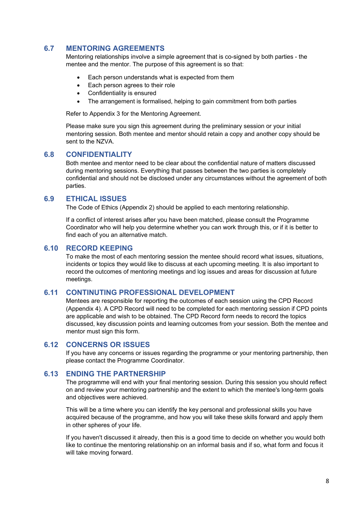#### <span id="page-7-0"></span>**6.7 MENTORING AGREEMENTS**

Mentoring relationships involve a simple agreement that is co-signed by both parties - the mentee and the mentor. The purpose of this agreement is so that:

- Each person understands what is expected from them
- Each person agrees to their role
- Confidentiality is ensured
- The arrangement is formalised, helping to gain commitment from both parties

Refer to Appendix 3 for the Mentoring Agreement.

Please make sure you sign this agreement during the preliminary session or your initial mentoring session. Both mentee and mentor should retain a copy and another copy should be sent to the NZVA.

#### <span id="page-7-1"></span>**6.8 CONFIDENTIALITY**

Both mentee and mentor need to be clear about the confidential nature of matters discussed during mentoring sessions. Everything that passes between the two parties is completely confidential and should not be disclosed under any circumstances without the agreement of both parties.

#### <span id="page-7-2"></span>**6.9 ETHICAL ISSUES**

The Code of Ethics (Appendix 2) should be applied to each mentoring relationship.

If a conflict of interest arises after you have been matched, please consult the Programme Coordinator who will help you determine whether you can work through this, or if it is better to find each of you an alternative match.

#### <span id="page-7-3"></span>**6.10 RECORD KEEPING**

To make the most of each mentoring session the mentee should record what issues, situations, incidents or topics they would like to discuss at each upcoming meeting. It is also important to record the outcomes of mentoring meetings and log issues and areas for discussion at future meetings.

#### <span id="page-7-4"></span>**6.11 CONTINUTING PROFESSIONAL DEVELOPMENT**

Mentees are responsible for reporting the outcomes of each session using the CPD Record (Appendix 4). A CPD Record will need to be completed for each mentoring session if CPD points are applicable and wish to be obtained. The CPD Record form needs to record the topics discussed, key discussion points and learning outcomes from your session. Both the mentee and mentor must sign this form.

#### <span id="page-7-5"></span>**6.12 CONCERNS OR ISSUES**

If you have any concerns or issues regarding the programme or your mentoring partnership, then please contact the Programme Coordinator.

#### <span id="page-7-6"></span>**6.13 ENDING THE PARTNERSHIP**

The programme will end with your final mentoring session. During this session you should reflect on and review your mentoring partnership and the extent to which the mentee's long-term goals and objectives were achieved.

This will be a time where you can identify the key personal and professional skills you have acquired because of the programme, and how you will take these skills forward and apply them in other spheres of your life.

If you haven't discussed it already, then this is a good time to decide on whether you would both like to continue the mentoring relationship on an informal basis and if so, what form and focus it will take moving forward.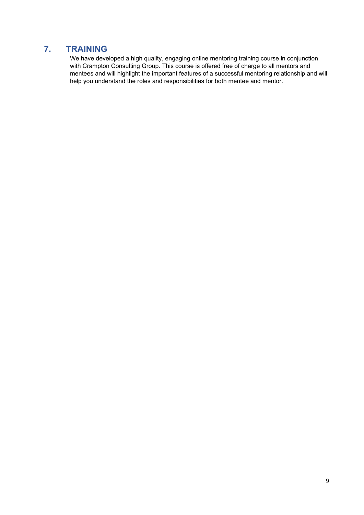## <span id="page-8-0"></span>**7. TRAINING**

We have developed a high quality, engaging online mentoring training course in conjunction with Crampton Consulting Group. This course is offered free of charge to all mentors and mentees and will highlight the important features of a successful mentoring relationship and will help you understand the roles and responsibilities for both mentee and mentor.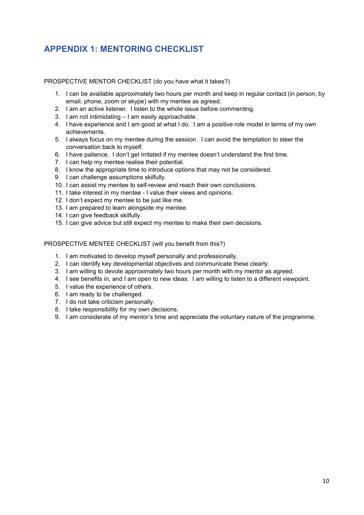# <span id="page-9-0"></span>**APPENDIX 1: MENTORING CHECKLIST**

PROSPECTIVE MENTOR CHECKLIST (do you have what it takes?)

- 1. I can be available approximately two hours per month and keep in regular contact (in person, by email, phone, zoom or skype) with my mentee as agreed.
- 2. I am an active listener. I listen to the whole issue before commenting.
- 3. I am not intimidating I am easily approachable.
- 4. I have experience and I am good at what I do. I am a positive role model in terms of my own achievements.
- 5. I always focus on my mentee during the session. I can avoid the temptation to steer the conversation back to myself.
- 6. I have patience. I don't get irritated if my mentee doesn't understand the first time.
- 7. I can help my mentee realise their potential.
- 8. I know the appropriate time to introduce options that may not be considered.
- 9. I can challenge assumptions skilfully.
- 10. I can assist my mentee to self-review and reach their own conclusions.
- 11. I take interest in my mentee I value their views and opinions.
- 12. I don't expect my mentee to be just like me.
- 13. I am prepared to learn alongside my mentee.
- 14. I can give feedback skilfully.
- 15. I can give advice but still expect my mentee to make their own decisions.

PROSPECTIVE MENTEE CHECKLIST (will you benefit from this?)

- 1. I am motivated to develop myself personally and professionally.
- 2. I can identify key developmental objectives and communicate these clearly.
- 3. I am willing to devote approximately two hours per month with my mentor as agreed.
- 4. I see benefits in, and I am open to new ideas. I am willing to listen to a different viewpoint.
- 5. I value the experience of others.
- 6. I am ready to be challenged.
- 7. I do not take criticism personally.
- 8. I take responsibility for my own decisions.
- 9. I am considerate of my mentor's time and appreciate the voluntary nature of the programme.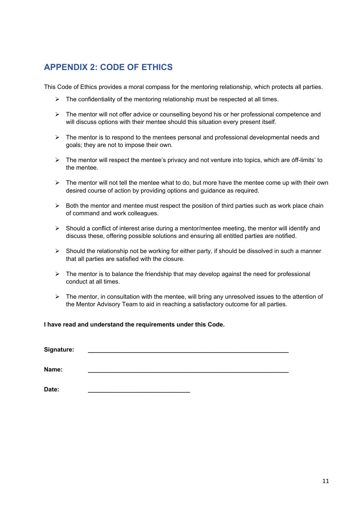## <span id="page-10-0"></span>**APPENDIX 2: CODE OF ETHICS**

This Code of Ethics provides a moral compass for the mentoring relationship, which protects all parties.

- $\triangleright$  The confidentiality of the mentoring relationship must be respected at all times.
- $\triangleright$  The mentor will not offer advice or counselling beyond his or her professional competence and will discuss options with their mentee should this situation every present itself.
- $\triangleright$  The mentor is to respond to the mentees personal and professional developmental needs and goals; they are not to impose their own.
- $\triangleright$  The mentor will respect the mentee's privacy and not venture into topics, which are óff-limits' to the mentee.
- $\triangleright$  The mentor will not tell the mentee what to do, but more have the mentee come up with their own desired course of action by providing options and guidance as required.
- $\triangleright$  Both the mentor and mentee must respect the position of third parties such as work place chain of command and work colleagues.
- $\triangleright$  Should a conflict of interest arise during a mentor/mentee meeting, the mentor will identify and discuss these, offering possible solutions and ensuring all entitled parties are notified.
- $\triangleright$  Should the relationship not be working for either party, if should be dissolved in such a manner that all parties are satisfied with the closure.
- $\triangleright$  The mentor is to balance the friendship that may develop against the need for professional conduct at all times.
- $\triangleright$  The mentor, in consultation with the mentee, will bring any unresolved issues to the attention of the Mentor Advisory Team to aid in reaching a satisfactory outcome for all parties.

**I have read and understand the requirements under this Code.**

| Signature: |  |  |
|------------|--|--|
|            |  |  |
| Name:      |  |  |
|            |  |  |
| Date:      |  |  |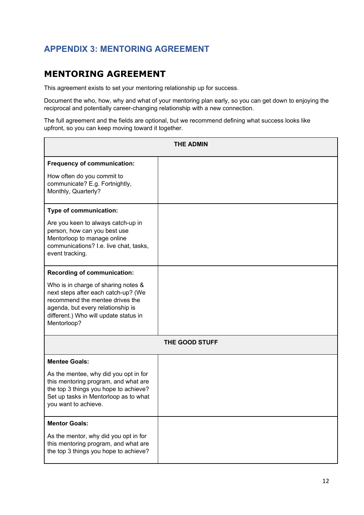# <span id="page-11-0"></span>**APPENDIX 3: MENTORING AGREEMENT**

# **MENTORING AGREEMENT**

This agreement exists to set your mentoring relationship up for success.

Document the who, how, why and what of your mentoring plan early, so you can get down to enjoying the reciprocal and potentially career-changing relationship with a new connection.

The full agreement and the fields are optional, but we recommend defining what success looks like upfront, so you can keep moving toward it together.

| <b>THE ADMIN</b>                                                                                                                                                                                           |  |  |  |  |  |
|------------------------------------------------------------------------------------------------------------------------------------------------------------------------------------------------------------|--|--|--|--|--|
| Frequency of communication:                                                                                                                                                                                |  |  |  |  |  |
| How often do you commit to<br>communicate? E.g. Fortnightly,<br>Monthly, Quarterly?                                                                                                                        |  |  |  |  |  |
| Type of communication:                                                                                                                                                                                     |  |  |  |  |  |
| Are you keen to always catch-up in<br>person, how can you best use<br>Mentorloop to manage online<br>communications? I.e. live chat, tasks,<br>event tracking.                                             |  |  |  |  |  |
| <b>Recording of communication:</b>                                                                                                                                                                         |  |  |  |  |  |
| Who is in charge of sharing notes &<br>next steps after each catch-up? (We<br>recommend the mentee drives the<br>agenda, but every relationship is<br>different.) Who will update status in<br>Mentorloop? |  |  |  |  |  |
| THE GOOD STUFF                                                                                                                                                                                             |  |  |  |  |  |
| <b>Mentee Goals:</b>                                                                                                                                                                                       |  |  |  |  |  |
| As the mentee, why did you opt in for<br>this mentoring program, and what are<br>the top 3 things you hope to achieve?<br>Set up tasks in Mentorloop as to what<br>you want to achieve.                    |  |  |  |  |  |
| <b>Mentor Goals:</b>                                                                                                                                                                                       |  |  |  |  |  |
| As the mentor, why did you opt in for<br>this mentoring program, and what are<br>the top 3 things you hope to achieve?                                                                                     |  |  |  |  |  |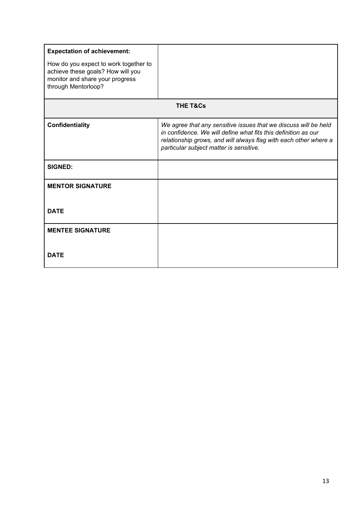| <b>Expectation of achievement:</b><br>How do you expect to work together to<br>achieve these goals? How will you<br>monitor and share your progress<br>through Mentorloop? |                                                                                                                                                                                                                                                  |  |  |  |  |
|----------------------------------------------------------------------------------------------------------------------------------------------------------------------------|--------------------------------------------------------------------------------------------------------------------------------------------------------------------------------------------------------------------------------------------------|--|--|--|--|
| <b>THE T&amp;Cs</b>                                                                                                                                                        |                                                                                                                                                                                                                                                  |  |  |  |  |
| Confidentiality                                                                                                                                                            | We agree that any sensitive issues that we discuss will be held<br>in confidence. We will define what fits this definition as our<br>relationship grows, and will always flag with each other where a<br>particular subject matter is sensitive. |  |  |  |  |
| <b>SIGNED:</b>                                                                                                                                                             |                                                                                                                                                                                                                                                  |  |  |  |  |
| <b>MENTOR SIGNATURE</b>                                                                                                                                                    |                                                                                                                                                                                                                                                  |  |  |  |  |
| <b>DATE</b>                                                                                                                                                                |                                                                                                                                                                                                                                                  |  |  |  |  |
| <b>MENTEE SIGNATURE</b>                                                                                                                                                    |                                                                                                                                                                                                                                                  |  |  |  |  |
| <b>DATE</b>                                                                                                                                                                |                                                                                                                                                                                                                                                  |  |  |  |  |